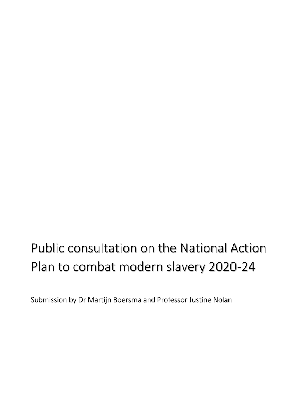# Public consultation on the National Action Plan to combat modern slavery 2020-24

Submission by Dr Martijn Boersma and Professor Justine Nolan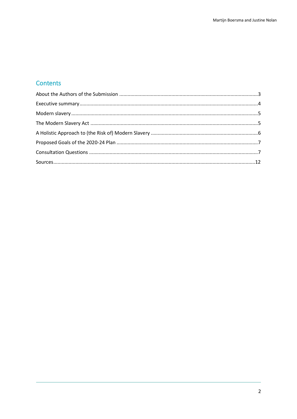# **Contents**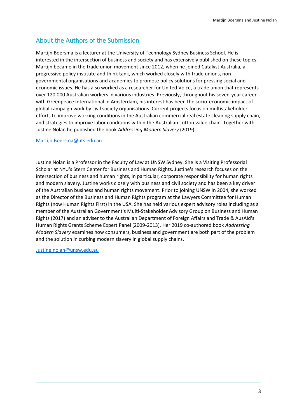# <span id="page-2-0"></span>About the Authors of the Submission

Martijn Boersma is a lecturer at the University of Technology Sydney Business School. He is interested in the intersection of business and society and has extensively published on these topics. Martijn became in the trade union movement since 2012, when he joined Catalyst Australia, a progressive policy institute and think tank, which worked closely with trade unions, nongovernmental organisations and academics to promote policy solutions for pressing social and economic issues. He has also worked as a researcher for United Voice, a trade union that represents over 120,000 Australian workers in various industries. Previously, throughout his seven-year career with Greenpeace International in Amsterdam, his interest has been the socio-economic impact of global campaign work by civil society organisations. Current projects focus on multistakeholder efforts to improve working conditions in the Australian commercial real estate cleaning supply chain, and strategies to improve labor conditions within the Australian cotton value chain. Together with Justine Nolan he published the book *Addressing Modern Slavery* (2019).

#### [Martijn.Boersma@uts.edu.au](mailto:Martijn.Boersma@uts.edu.au)

Justine Nolan is a Professor in the Faculty of Law at UNSW Sydney. She is a Visiting Professorial Scholar at NYU's Stern Center for Business and Human Rights. Justine's research focuses on the intersection of business and human rights, in particular, corporate responsibility for human rights and modern slavery. Justine works closely with business and civil society and has been a key driver of the Australian business and human rights movement. Prior to joining UNSW in 2004, she worked as the Director of the Business and Human Rights program at the Lawyers Committee for Human Rights (now Human Rights First) in the USA. She has held various expert advisory roles including as a member of the Australian Government's Multi-Stakeholder Advisory Group on Business and Human Rights (2017) and an adviser to the Australian Department of Foreign Affairs and Trade & AusAId's Human Rights Grants Scheme Expert Panel (2009-2013). Her 2019 co-authored book *Addressing Modern Slavery* examines how consumers, business and government are both part of the problem and the solution in curbing modern slavery in global supply chains.

[Justine.nolan@unsw.edu.au](mailto:Justine.nolan@unsw.edu.au)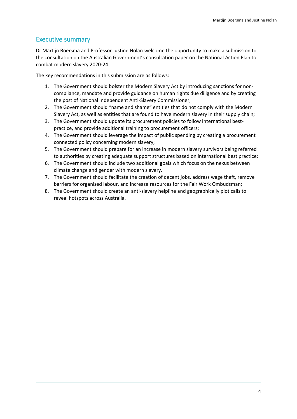## <span id="page-3-0"></span>Executive summary

Dr Martijn Boersma and Professor Justine Nolan welcome the opportunity to make a submission to the consultation on the Australian Government's consultation paper on the National Action Plan to combat modern slavery 2020-24.

The key recommendations in this submission are as follows:

- 1. The Government should bolster the Modern Slavery Act by introducing sanctions for noncompliance, mandate and provide guidance on human rights due diligence and by creating the post of National Independent Anti-Slavery Commissioner;
- 2. The Government should "name and shame" entities that do not comply with the Modern Slavery Act, as well as entities that are found to have modern slavery in their supply chain;
- 3. The Government should update its procurement policies to follow international bestpractice, and provide additional training to procurement officers;
- 4. The Government should leverage the impact of public spending by creating a procurement connected policy concerning modern slavery;
- 5. The Government should prepare for an increase in modern slavery survivors being referred to authorities by creating adequate support structures based on international best practice;
- 6. The Government should include two additional goals which focus on the nexus between climate change and gender with modern slavery.
- 7. The Government should facilitate the creation of decent jobs, address wage theft, remove barriers for organised labour, and increase resources for the Fair Work Ombudsman;
- 8. The Government should create an anti-slavery helpline and geographically plot calls to reveal hotspots across Australia.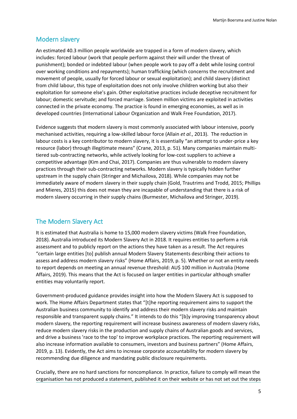### <span id="page-4-0"></span>Modern slavery

An estimated 40.3 million people worldwide are trapped in a form of modern slavery, which includes: forced labour (work that people perform against their will under the threat of punishment); bonded or indebted labour (when people work to pay off a debt while losing control over working conditions and repayments); human trafficking (which concerns the recruitment and movement of people, usually for forced labour or sexual exploitation); and child slavery (distinct from child labour, this type of exploitation does not only involve children working but also their exploitation for someone else's gain. Other exploitative practices include deceptive recruitment for labour; domestic servitude; and forced marriage. Sixteen million victims are exploited in activities connected in the private economy. The practice is found in emerging economies, as well as in developed countries (International Labour Organization and Walk Free Foundation, 2017).

Evidence suggests that modern slavery is most commonly associated with labour intensive, poorly mechanised activities, requiring a low-skilled labour force (Allain *et al.*, 2013). The reduction in labour costs is a key contributor to modern slavery, it is essentially "an attempt to under-price a key resource (labor) through illegitimate means" (Crane, 2013, p. 51). Many companies maintain multitiered sub-contracting networks, while actively looking for low-cost suppliers to achieve a competitive advantage (Kim and Chai, 2017). Companies are thus vulnerable to modern slavery practices through their sub-contracting networks. Modern slavery is typically hidden further upstream in the supply chain (Stringer and Michailova, 2018). While companies may not be immediately aware of modern slavery in their supply chain (Gold, Trautrims and Trodd, 2015; Phillips and Mieres, 2015) this does not mean they are incapable of understanding that there is a risk of modern slavery occurring in their supply chains (Burmester, Michailova and Stringer, 2019).

#### <span id="page-4-1"></span>The Modern Slavery Act

It is estimated that Australia is home to 15,000 modern slavery victims (Walk Free Foundation, 2018). Australia introduced its Modern Slavery Act in 2018. It requires entities to perform a risk assessment and to publicly report on the actions they have taken as a result. The Act requires "certain large entities [to] publish annual Modern Slavery Statements describing their actions to assess and address modern slavery risks" (Home Affairs, 2019, p. 5). Whether or not an entity needs to report depends on meeting an annual revenue threshold: AU\$ 100 million in Australia (Home Affairs, 2019). This means that the Act is focused on larger entities in particular although smaller entities may voluntarily report.

Government-produced guidance provides insight into how the Modern Slavery Act is supposed to work. The Home Affairs Department states that "[t]he reporting requirement aims to support the Australian business community to identify and address their modern slavery risks and maintain responsible and transparent supply chains." It intends to do this "[b]y improving transparency about modern slavery, the reporting requirement will increase business awareness of modern slavery risks, reduce modern slavery risks in the production and supply chains of Australian goods and services, and drive a business 'race to the top' to improve workplace practices. The reporting requirement will also increase information available to consumers, investors and business partners" (Home Affairs, 2019, p. 13). Evidently, the Act aims to increase corporate accountability for modern slavery by recommending due diligence and mandating public disclosure requirements.

Crucially, there are no hard sanctions for noncompliance. In practice, failure to comply will mean the organisation has not produced a statement, published it on their website or has not set out the steps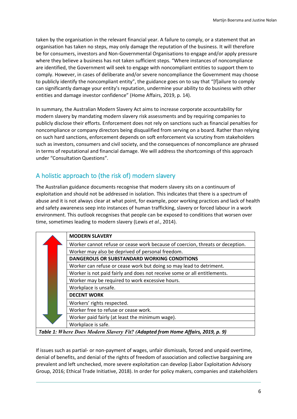taken by the organisation in the relevant financial year. A failure to comply, or a statement that an organisation has taken no steps, may only damage the reputation of the business. It will therefore be for consumers, investors and Non-Governmental Organisations to engage and/or apply pressure where they believe a business has not taken sufficient steps. "Where instances of noncompliance are identified, the Government will seek to engage with noncompliant entities to support them to comply. However, in cases of deliberate and/or severe noncompliance the Government may choose to publicly identify the noncompliant entity", the guidance goes on to say that "[f]ailure to comply can significantly damage your entity's reputation, undermine your ability to do business with other entities and damage investor confidence" (Home Affairs, 2019, p. 14).

In summary, the Australian Modern Slavery Act aims to increase corporate accountability for modern slavery by mandating modern slavery risk assessments and by requiring companies to publicly disclose their efforts. Enforcement does not rely on sanctions such as financial penalties for noncompliance or company directors being disqualified from serving on a board. Rather than relying on such hard sanctions, enforcement depends on soft enforcement via scrutiny from stakeholders such as investors, consumers and civil society, and the consequences of noncompliance are phrased in terms of reputational and financial damage. We will address the shortcomings of this approach under "Consultation Questions".

# <span id="page-5-0"></span>A holistic approach to (the risk of) modern slavery

The Australian guidance documents recognise that modern slavery sits on a continuum of exploitation and should not be addressed in isolation. This indicates that there is a spectrum of abuse and it is not always clear at what point, for example, poor working practices and lack of health and safety awareness seep into instances of human trafficking, slavery or forced labour in a work environment. This outlook recognises that people can be exposed to conditions that worsen over time, sometimes leading to modern slavery (Lewis *et al.*, 2014).

| <b>MODERN SLAVERY</b>                                                          |
|--------------------------------------------------------------------------------|
| Worker cannot refuse or cease work because of coercion, threats or deception.  |
| Worker may also be deprived of personal freedom.                               |
| <b>DANGEROUS OR SUBSTANDARD WORKING CONDITIONS</b>                             |
| Worker can refuse or cease work but doing so may lead to detriment.            |
| Worker is not paid fairly and does not receive some or all entitlements.       |
| Worker may be required to work excessive hours.                                |
| Workplace is unsafe.                                                           |
| <b>DECENT WORK</b>                                                             |
| Workers' rights respected.                                                     |
| Worker free to refuse or cease work.                                           |
| Worker paid fairly (at least the minimum wage).                                |
| Workplace is safe.                                                             |
| Table 1: Whare Does Modern Slavery Fit? (Adapted from Home Affairs, 2019 n. 8) |

*Table 1: Where Does Modern Slavery Fit? (Adapted from Home Affairs, 2019, p. 9)*

If issues such as partial- or non-payment of wages, unfair dismissals, forced and unpaid overtime, denial of benefits, and denial of the rights of freedom of association and collective bargaining are prevalent and left unchecked, more severe exploitation can develop (Labor Exploitation Advisory Group, 2016; Ethical Trade Initiative, 2018). In order for policy makers, companies and stakeholders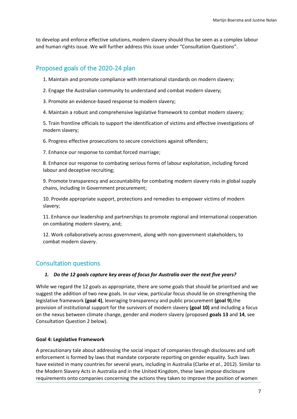to develop and enforce effective solutions, modern slavery should thus be seen as a complex labour and human rights issue. We will further address this issue under "Consultation Questions".

# <span id="page-6-0"></span>Proposed goals of the 2020-24 plan

1. Maintain and promote compliance with international standards on modern slavery;

- 2. Engage the Australian community to understand and combat modern slavery;
- 3. Promote an evidence-based response to modern slavery;
- 4. Maintain a robust and comprehensive legislative framework to combat modern slavery;

5. Train frontline officials to support the identification of victims and effective investigations of modern slavery;

6. Progress effective prosecutions to secure convictions against offenders;

7. Enhance our response to combat forced marriage;

8. Enhance our response to combating serious forms of labour exploitation, including forced labour and deceptive recruiting;

9. Promote transparency and accountability for combating modern slavery risks in global supply chains, including in Government procurement;

10. Provide appropriate support, protections and remedies to empower victims of modern slavery;

11. Enhance our leadership and partnerships to promote regional and international cooperation on combating modern slavery, and;

12. Work collaboratively across government, along with non-government stakeholders, to combat modern slavery.

# <span id="page-6-1"></span>Consultation questions

#### *1. Do the 12 goals capture key areas of focus for Australia over the next five years?*

While we regard the 12 goals as appropriate, there are some goals that should be prioritsed and we suggest the addition of two new goals. In our view, particular focus should lie on strengthening the legislative framework **(goal 4)**, leveraging transparency and public procurement **(goal 9)**,the provision of institutional support for the survivors of modern slavery **(goal 10)** and including a focus on the nexus between climate change, gender and modern slavery (proposed **goals 13** and **14**, see Consultation Question 2 below).

#### **Goal 4: Legislative Framework**

A precautionary tale about addressing the social impact of companies through disclosures and soft enforcement is formed by laws that mandate corporate reporting on gender equality. Such laws have existed in many countries for several years, including in Australia (Clarke *et al.*, 2012). Similar to the Modern Slavery Acts in Australia and in the United Kingdom, these laws impose disclosure requirements onto companies concerning the actions they taken to improve the position of women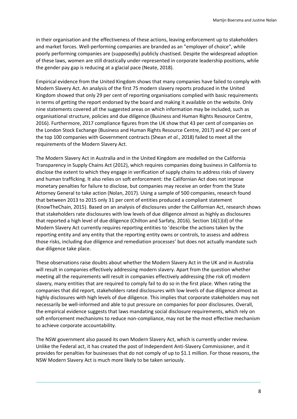in their organisation and the effectiveness of these actions, leaving enforcement up to stakeholders and market forces. Well-performing companies are branded as an "employer of choice", while poorly performing companies are (supposedly) publicly chastised. Despite the widespread adoption of these laws, women are still drastically under-represented in corporate leadership positions, while the gender pay gap is reducing at a glacial pace (Neate, 2018).

Empirical evidence from the United Kingdom shows that many companies have failed to comply with Modern Slavery Act. An analysis of the first 75 modern slavery reports produced in the United Kingdom showed that only 29 per cent of reporting organisations complied with basic requirements in terms of getting the report endorsed by the board and making it available on the website. Only nine statements covered all the suggested areas on which information may be included, such as organisational structure, policies and due diligence (Business and Human Rights Resource Centre, 2016). Furthermore, 2017 compliance figures from the UK show that 43 per cent of companies on the London Stock Exchange (Business and Human Rights Resource Centre, 2017) and 42 per cent of the top 100 companies with Government contracts (Shean *et al.*, 2018) failed to meet all the requirements of the Modern Slavery Act.

The Modern Slavery Act in Australia and in the United Kingdom are modelled on the California Transparency in Supply Chains Act (2012), which requires companies doing business in California to disclose the extent to which they engage in verification of supply chains to address risks of slavery and human trafficking. It also relies on soft enforcement: the Californian Act does not impose monetary penalties for failure to disclose, but companies may receive an order from the State Attorney General to take action (Nolan, 2017). Using a sample of 500 companies, research found that between 2013 to 2015 only 31 per cent of entities produced a compliant statement (KnowTheChain, 2015). Based on an analysis of disclosures under the Californian Act, research shows that stakeholders rate disclosures with low levels of due diligence almost as highly as disclosures that reported a high level of due diligence (Chilton and Sarfaty, 2016). Section 16(1)(d) of the Modern Slavery Act currently requires reporting entities to 'describe the actions taken by the reporting entity and any entity that the reporting entity owns or controls, to assess and address those risks, including due diligence and remediation processes' but does not actually mandate such due diligence take place.

These observations raise doubts about whether the Modern Slavery Act in the UK and in Australia will result in companies effectively addressing modern slavery. Apart from the question whether meeting all the requirements will result in companies effectively addressing (the risk of) modern slavery, many entities that are required to comply fail to do so in the first place. When rating the companies that did report, stakeholders rated disclosures with low levels of due diligence almost as highly disclosures with high levels of due diligence. This implies that corporate stakeholders may not necessarily be well-informed and able to put pressure on companies for poor disclosures. Overall, the empirical evidence suggests that laws mandating social disclosure requirements, which rely on soft enforcement mechanisms to reduce non-compliance, may not be the most effective mechanism to achieve corporate accountability.

The NSW government also passed its own Modern Slavery Act, which is currently under review. Unlike the Federal act, it has created the post of Independent Anti-Slavery Commissioner, and it provides for penalties for businesses that do not comply of up to \$1.1 million. For those reasons, the NSW Modern Slavery Act is much more likely to be taken seriously.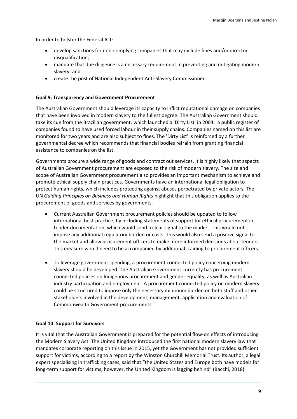In order to bolster the Federal Act:

- develop sanctions for non-complying companies that may include fines and/or director disqualification;
- mandate that due diligence is a necessary requirement in preventing and mitigating modern slavery; and
- create the post of National Independent Anti-Slavery Commissioner.

#### **Goal 9: Transparency and Government Procurement**

The Australian Government should leverage its capacity to inflict reputational damage on companies that have been involved in modern slavery to the fullest degree. The Australian Government should take its cue from the Brazilian government, which launched a 'Dirty List' in 2004: a public register of companies found to have used forced labour in their supply chains. Companies named on this list are monitored for two years and are also subject to fines. The 'Dirty List' is reinforced by a further governmental decree which recommends that financial bodies refrain from granting financial assistance to companies on the list.

Governments procure a wide range of goods and contract out services. It is highly likely that aspects of Australian Government procurement are exposed to the risk of modern slavery. The size and scope of Australian Government procurement also provides an important mechanism to achieve and promote ethical supply chain practices. Governments have an international legal obligation to protect human rights, which includes protecting against abuses perpetrated by private actors. The UN *Guiding Principles on Business and Human Rights* highlight that this obligation applies to the procurement of goods and services by governments.

- Current Australian Government procurement policies should be updated to follow international best-practice, by including statements of support for ethical procurement in tender documentation, which would send a clear signal to the market. This would not impose any additional regulatory burden or costs. This would also send a positive signal to the market and allow procurement officers to make more informed decisions about tenders. This measure would need to be accompanied by additional training to procurement officers.
- To leverage government spending, a procurement connected policy concerning modern slavery should be developed. The Australian Government currently has procurement connected policies on Indigenous procurement and gender equality, as well as Australian industry participation and employment. A procurement connected policy on modern slavery could be structured to impose only the necessary minimum burden on both staff and other stakeholders involved in the development, management, application and evaluation of Commonwealth Government procurements.

#### **Goal 10: Support for Survivors**

It is vital that the Australian Government is prepared for the potential flow-on effects of introducing the Modern Slavery Act. The United Kingdom introduced the first national modern slavery law that mandates corporate reporting on this issue in 2015, yet the Government has not provided sufficient support for victims, according to a report by the Winston Churchill Memorial Trust. Its author, a legal expert specialising in trafficking cases, said that "the United States and Europe both have models for long-term support for victims; however, the United Kingdom is lagging behind" (Bacchi, 2018).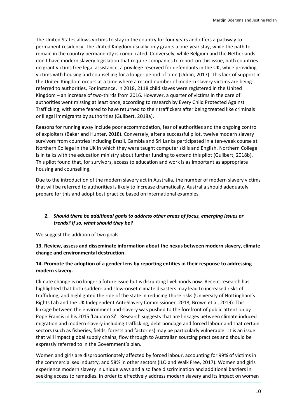The United States allows victims to stay in the country for four years and offers a pathway to permanent residency. The United Kingdom usually only grants a one-year stay, while the path to remain in the country permanently is complicated. Conversely, while Belgium and the Netherlands don't have modern slavery legislation that require companies to report on this issue, both countries do grant victims free legal assistance, a privilege reserved for defendants in the UK, while providing victims with housing and counselling for a longer period of time (Uddin, 2017). This lack of support in the United Kingdom occurs at a time where a record number of modern slavery victims are being referred to authorities. For instance, in 2018, 2118 child slaves were registered in the United Kingdom – an increase of two-thirds from 2016. However, a quarter of victims in the care of authorities went missing at least once, according to research by Every Child Protected Against Trafficking, with some feared to have returned to their traffickers after being treated like criminals or illegal immigrants by authorities (Guilbert, 2018a).

Reasons for running away include poor accommodation, fear of authorities and the ongoing control of exploiters (Baker and Hunter, 2018). Conversely, after a successful pilot, twelve modern slavery survivors from countries including Brazil, Gambia and Sri Lanka participated in a ten-week course at Northern College in the UK in which they were taught computer skills and English. Northern College is in talks with the education ministry about further funding to extend this pilot (Guilbert, 2018b). This pilot found that, for survivors, access to education and work is as important as appropriate housing and counselling.

Due to the introduction of the modern slavery act in Australia, the number of modern slavery victims that will be referred to authorities is likely to increase dramatically. Australia should adequately prepare for this and adopt best practice based on international examples.

#### *2. Should there be additional goals to address other areas of focus, emerging issues or trends? If so, what should they be?*

We suggest the addition of two goals:

**13. Review, assess and disseminate information about the nexus between modern slavery, climate change and environmental destruction.**

#### **14. Promote the adoption of a gender lens by reporting entities in their response to addressing modern slavery.**

Climate change is no longer a future issue but is disrupting livelihoods now. Recent research has highlighted that both sudden- and slow-onset climate disasters may lead to increased risks of trafficking, and highlighted the role of the state in reducing those risks (University of Nottingham's Rights Lab and the UK Independent Anti-Slavery Commissioner, 2018; Brown et al, 2019). This linkage between the environment and slavery was pushed to the forefront of public attention by Pope Francis in his 2015 'Laudato Si'. Research suggests that are linkages between climate induced migration and modern slavery including trafficking, debt bondage and forced labour and that certain sectors (such as fisheries, fields, forests and factories) may be particularly vulnerable. It is an issue that will impact global supply chains, flow through to Australian sourcing practices and should be expressly referred to in the Government's plan.

Women and girls are disproportionately affected by forced labour, accounting for 99% of victims in the commercial sex industry, and 58% in other sectors (ILO and Walk Free, 2017). Women and girls experience modern slavery in unique ways and also face discrimination and additional barriers in seeking access to remedies. In order to effectively address modern slavery and its impact on women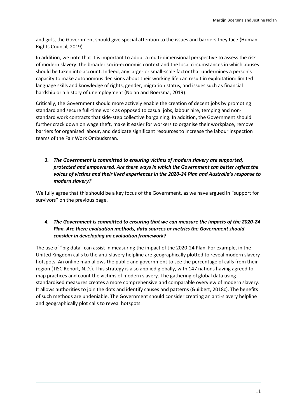and girls, the Government should give special attention to the issues and barriers they face (Human Rights Council, 2019).

In addition, we note that it is important to adopt a multi-dimensional perspective to assess the risk of modern slavery: the broader socio-economic context and the local circumstances in which abuses should be taken into account. Indeed, any large- or small-scale factor that undermines a person's capacity to make autonomous decisions about their working life can result in exploitation: limited language skills and knowledge of rights, gender, migration status, and issues such as financial hardship or a history of unemployment (Nolan and Boersma, 2019).

Critically, the Government should more actively enable the creation of decent jobs by promoting standard and secure full-time work as opposed to casual jobs, labour hire, temping and nonstandard work contracts that side-step collective bargaining. In addition, the Government should further crack down on wage theft, make it easier for workers to organise their workplace, remove barriers for organised labour, and dedicate significant resources to increase the labour inspection teams of the Fair Work Ombudsman.

#### *3. The Government is committed to ensuring victims of modern slavery are supported, protected and empowered. Are there ways in which the Government can better reflect the voices of victims and their lived experiences in the 2020-24 Plan and Australia's response to modern slavery?*

We fully agree that this should be a key focus of the Government, as we have argued in "support for survivors" on the previous page.

#### *4. The Government is committed to ensuring that we can measure the impacts of the 2020-24 Plan. Are there evaluation methods, data sources or metrics the Government should consider in developing an evaluation framework?*

The use of "big data" can assist in measuring the impact of the 2020-24 Plan. For example, in the United Kingdom calls to the anti-slavery helpline are geographically plotted to reveal modern slavery hotspots. An online map allows the public and government to see the percentage of calls from their region (TISC Report, N.D.). This strategy is also applied globally, with 147 nations having agreed to map practices and count the victims of modern slavery. The gathering of global data using standardised measures creates a more comprehensive and comparable overview of modern slavery. It allows authorities to join the dots and identify causes and patterns (Guilbert, 2018c). The benefits of such methods are undeniable. The Government should consider creating an anti-slavery helpline and geographically plot calls to reveal hotspots.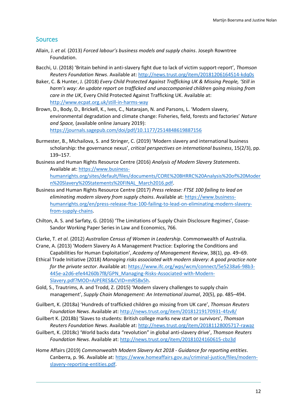## <span id="page-11-0"></span>**Sources**

- Allain, J. *et al.* (2013) *Forced labour's business models and supply chains*. Joseph Rowntree Foundation.
- Bacchi, U. (2018) 'Britain behind in anti-slavery fight due to lack of victim support-report', *Thomson Reuters Foundation News*. Available at: <http://news.trust.org/item/20181206164514-kdq0s>
- Baker, C. & Hunter, J. (2018) *Every Child Protected Against Trafficking UK & Missing People, 'Still in harm's way: An update report on trafficked and unaccompanied children going missing from care in the UK*, Every Child Protected Against Trafficking UK. Available at: <http://www.ecpat.org.uk/still-in-harms-way>
- Brown, D., Body, D., Brickell, K., Ives, C., Natarajan, N. and Parsons, L. 'Modern slavery, environmental degradation and climate change: Fisheries, field, forests and factories' *Nature and Space,* (available online January 2019): <https://journals.sagepub.com/doi/pdf/10.1177/2514848619887156>
- Burmester, B., Michailova, S. and Stringer, C. (2019) 'Modern slavery and international business scholarship: the governance nexus', *critical perspectives on international business*, 15(2/3), pp. 139–157.
- Business and Human Rights Resource Centre (2016) *Analysis of Modern Slavery Statements*. Available at: [https://www.business](https://www.business-humanrights.org/sites/default/files/documents/CORE%20BHRRC%20Analysis%20of%20Modern%20Slavery%20Statements%20FINAL_March2016.pdf)[humanrights.org/sites/default/files/documents/CORE%20BHRRC%20Analysis%20of%20Moder](https://www.business-humanrights.org/sites/default/files/documents/CORE%20BHRRC%20Analysis%20of%20Modern%20Slavery%20Statements%20FINAL_March2016.pdf) [n%20Slavery%20Statements%20FINAL\\_March2016.pdf.](https://www.business-humanrights.org/sites/default/files/documents/CORE%20BHRRC%20Analysis%20of%20Modern%20Slavery%20Statements%20FINAL_March2016.pdf)
- Business and Human Rights Resource Centre (2017) *Press release: FTSE 100 failing to lead on eliminating modern slavery from supply chains*. Available at[: https://www.business](https://www.business-humanrights.org/en/press-release-ftse-100-failing-to-lead-on-eliminating-modern-slavery-from-supply-chains)[humanrights.org/en/press-release-ftse-100-failing-to-lead-on-eliminating-modern-slavery](https://www.business-humanrights.org/en/press-release-ftse-100-failing-to-lead-on-eliminating-modern-slavery-from-supply-chains)[from-supply-chains.](https://www.business-humanrights.org/en/press-release-ftse-100-failing-to-lead-on-eliminating-modern-slavery-from-supply-chains)
- Chilton, A. S. and Sarfaty, G. (2016) 'The Limitations of Supply Chain Disclosure Regimes', Coase-Sandor Working Paper Series in Law and Economics, 766.
- Clarke, T. *et al.* (2012) *Australian Census of Women in Leadership*. Commonwealth of Australia. Crane, A. (2013) 'Modern Slavery As A Management Practice: Exploring the Conditions and
- Capabilities for Human Exploitation', *Academy of Management Review*, 38(1), pp. 49–69. Ethical Trade Initiative (2018) *Managing risks associated with modern slavery: A good practice note for the private sector*. Available at[: https://www.ifc.org/wps/wcm/connect/5e5238a6-98b3-](https://www.ifc.org/wps/wcm/connect/5e5238a6-98b3-445e-a2d6-efe44260b7f8/GPN_Managing-Risks-Associated-with-Modern-Slavery.pdf?MOD=AJPERES&CVID=mR5Bx5h)
- [445e-a2d6-efe44260b7f8/GPN\\_Managing-Risks-Associated-with-Modern-](https://www.ifc.org/wps/wcm/connect/5e5238a6-98b3-445e-a2d6-efe44260b7f8/GPN_Managing-Risks-Associated-with-Modern-Slavery.pdf?MOD=AJPERES&CVID=mR5Bx5h)[Slavery.pdf?MOD=AJPERES&CVID=mR5Bx5h.](https://www.ifc.org/wps/wcm/connect/5e5238a6-98b3-445e-a2d6-efe44260b7f8/GPN_Managing-Risks-Associated-with-Modern-Slavery.pdf?MOD=AJPERES&CVID=mR5Bx5h)
- Gold, S., Trautrims, A. and Trodd, Z. (2015) 'Modern slavery challenges to supply chain management', *Supply Chain Management: An International Journal*, 20(5), pp. 485–494.
- Guilbert, K. (2018a) 'Hundreds of trafficked children go missing from UK care', *Thomson Reuters Foundation News*. Available at: <http://news.trust.org/item/20181219170931-4fzv8/>
- Guilbert K. (2018b) 'Slaves to students: British college marks new start or survivors', *Thomson Reuters Foundation News*. Available at: <http://news.trust.org/item/20181128005717-rawaz>
- Guilbert, K. (2018c) 'World backs data "revolution" in global anti-slavery drive', *Thomson Reuters Foundation News*. Available at: <http://news.trust.org/item/20181024160615-cbz3d>
- Home Affairs (2019) *Commonwealth Modern Slavery Act 2018 - Guidance for reporting entities*. Canberra, p. 96. Available at: [https://www.homeaffairs.gov.au/criminal-justice/files/modern](https://www.homeaffairs.gov.au/criminal-justice/files/modern-slavery-reporting-entities.pdf)[slavery-reporting-entities.pdf.](https://www.homeaffairs.gov.au/criminal-justice/files/modern-slavery-reporting-entities.pdf)